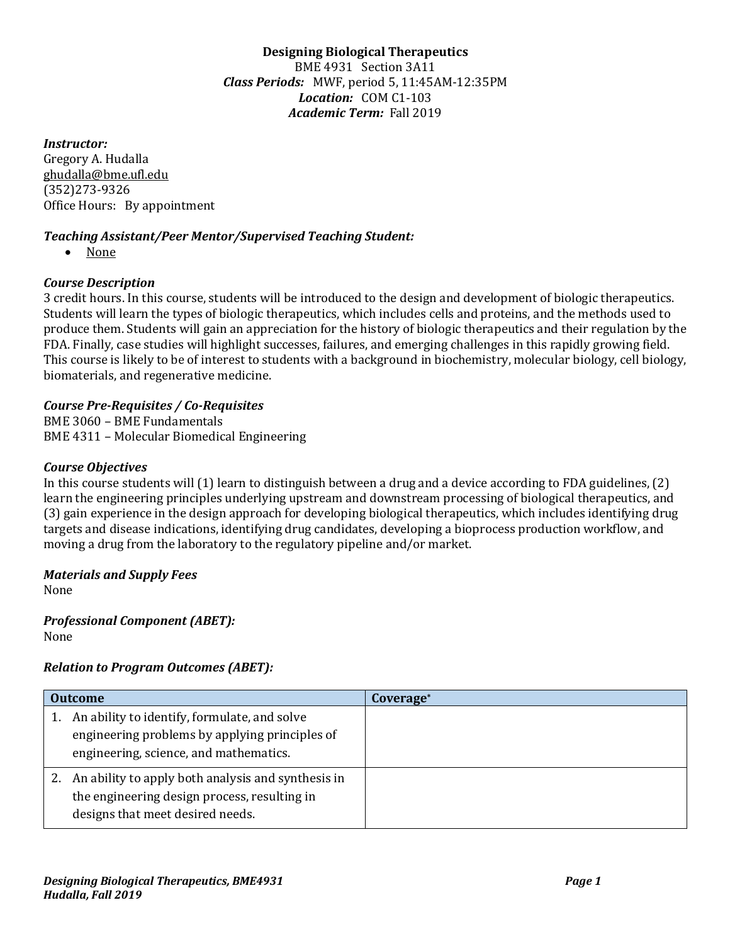**Designing Biological Therapeutics** BME 4931 Section 3A11 *Class Periods:* MWF, period 5, 11:45AM-12:35PM Location: COM C1-103 Academic Term: Fall 2019

*Instructor:*

Gregory A. Hudalla ghudalla@bme.ufl.edu (352)273-9326 Office Hours: By appointment

# *Teaching Assistant/Peer Mentor/Supervised Teaching Student:*

• None

# *Course Description*

3 credit hours. In this course, students will be introduced to the design and development of biologic therapeutics. Students will learn the types of biologic therapeutics, which includes cells and proteins, and the methods used to produce them. Students will gain an appreciation for the history of biologic therapeutics and their regulation by the FDA. Finally, case studies will highlight successes, failures, and emerging challenges in this rapidly growing field. This course is likely to be of interest to students with a background in biochemistry, molecular biology, cell biology, biomaterials, and regenerative medicine.

# *Course Pre-Requisites / Co-Requisites*

BME 3060 - BME Fundamentals BME 4311 - Molecular Biomedical Engineering

#### *Course Objectives*

In this course students will  $(1)$  learn to distinguish between a drug and a device according to FDA guidelines,  $(2)$ learn the engineering principles underlying upstream and downstream processing of biological therapeutics, and (3) gain experience in the design approach for developing biological therapeutics, which includes identifying drug targets and disease indications, identifying drug candidates, developing a bioprocess production workflow, and moving a drug from the laboratory to the regulatory pipeline and/or market.

#### *Materials and Supply Fees*

None

#### **Professional Component (ABET):** None

# *Relation to Program Outcomes (ABET):*

| <b>Outcome</b>                                                                                                                            | Coverage* |  |
|-------------------------------------------------------------------------------------------------------------------------------------------|-----------|--|
| An ability to identify, formulate, and solve<br>engineering problems by applying principles of<br>engineering, science, and mathematics.  |           |  |
| 2. An ability to apply both analysis and synthesis in<br>the engineering design process, resulting in<br>designs that meet desired needs. |           |  |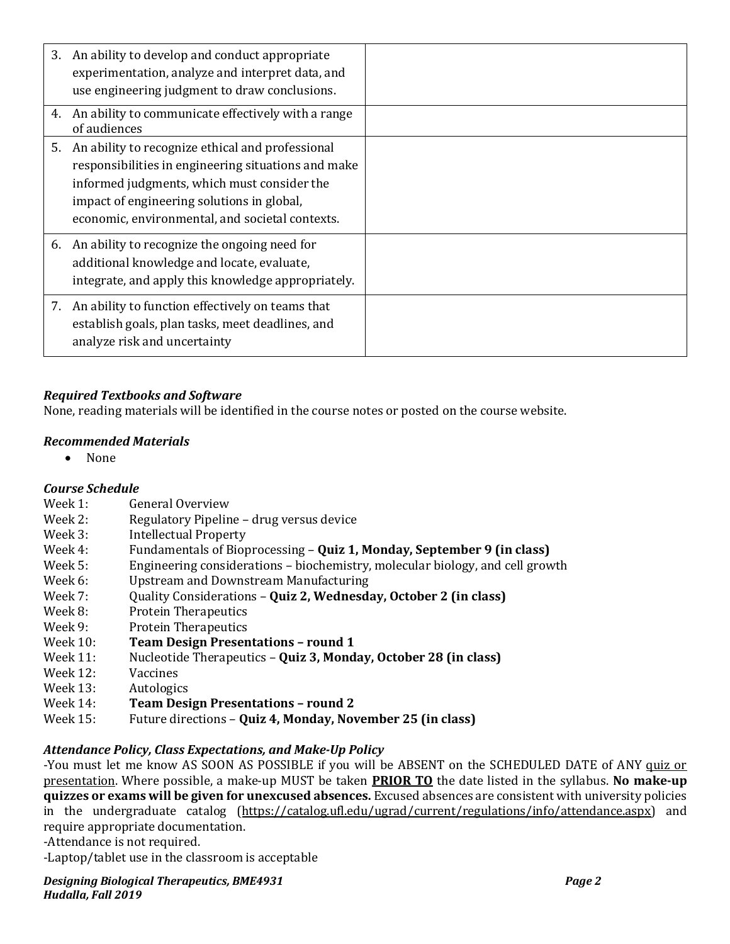|    | 3. An ability to develop and conduct appropriate<br>experimentation, analyze and interpret data, and<br>use engineering judgment to draw conclusions.                                                                                                   |  |
|----|---------------------------------------------------------------------------------------------------------------------------------------------------------------------------------------------------------------------------------------------------------|--|
| 4. | An ability to communicate effectively with a range<br>of audiences                                                                                                                                                                                      |  |
| 5. | An ability to recognize ethical and professional<br>responsibilities in engineering situations and make<br>informed judgments, which must consider the<br>impact of engineering solutions in global,<br>economic, environmental, and societal contexts. |  |
|    | 6. An ability to recognize the ongoing need for<br>additional knowledge and locate, evaluate,<br>integrate, and apply this knowledge appropriately.                                                                                                     |  |
|    | 7. An ability to function effectively on teams that<br>establish goals, plan tasks, meet deadlines, and<br>analyze risk and uncertainty                                                                                                                 |  |

# *Required Textbooks and Software*

None, reading materials will be identified in the course notes or posted on the course website.

#### *Recommended Materials*

• None

#### *Course Schedule*

- Week 1: General Overview
- Week 2: Regulatory Pipeline drug versus device
- Week 3: Intellectual Property
- Week 4: Fundamentals of Bioprocessing **Quiz 1, Monday, September 9 (in class)**
- Week 5: Engineering considerations biochemistry, molecular biology, and cell growth
- Week 6: Upstream and Downstream Manufacturing
- Week 7: Quality Considerations **Quiz 2, Wednesday, October 2 (in class)**
- Week 8: Protein Therapeutics
- Week 9: Protein Therapeutics
- Week 10: Team Design Presentations round 1
- Week 11: Nucleotide Therapeutics **Quiz 3, Monday, October 28 (in class)**
- Week 12: Vaccines
- Week 13: Autologics
- Week 14: Team Design Presentations round 2
- Week 15: Future directions **Quiz 4, Monday, November 25 (in class)**

#### *Attendance Policy, Class Expectations, and Make-Up Policy*

-You must let me know AS SOON AS POSSIBLE if you will be ABSENT on the SCHEDULED DATE of ANY quiz or presentation. Where possible, a make-up MUST be taken **PRIOR TO** the date listed in the syllabus. No make-up **quizzes or exams will be given for unexcused absences.** Excused absences are consistent with university policies in the undergraduate catalog (https://catalog.ufl.edu/ugrad/current/regulations/info/attendance.aspx) and require appropriate documentation.

-Attendance is not required.

-Laptop/tablet use in the classroom is acceptable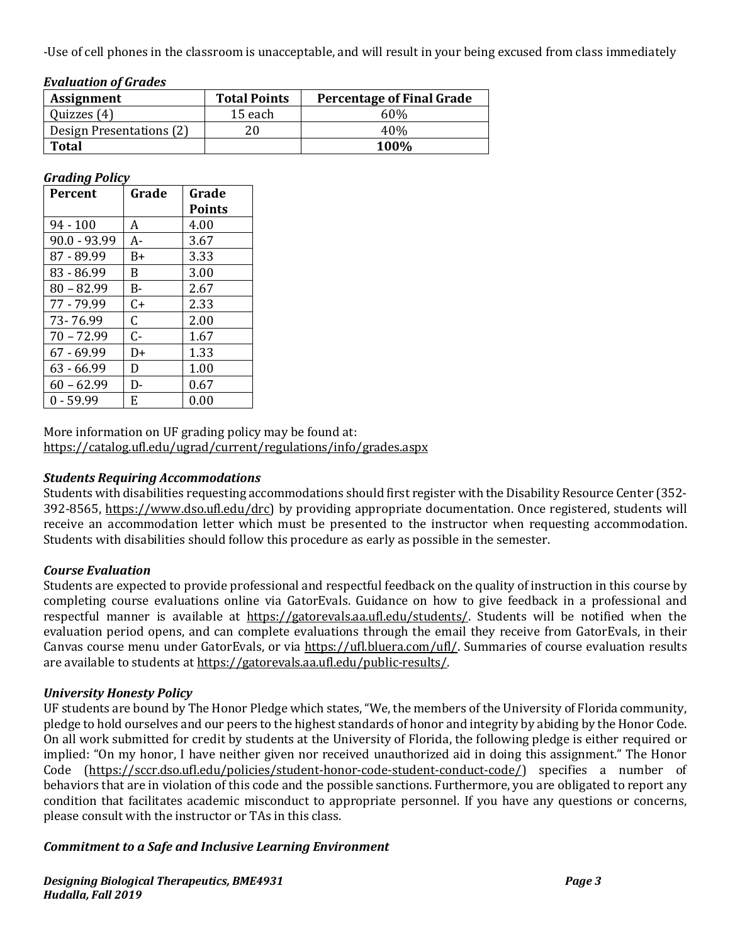-Use of cell phones in the classroom is unacceptable, and will result in your being excused from class immediately

| <b>Evaluation of Grades</b> |                     |                                  |  |  |  |  |
|-----------------------------|---------------------|----------------------------------|--|--|--|--|
| <b>Assignment</b>           | <b>Total Points</b> | <b>Percentage of Final Grade</b> |  |  |  |  |
| Quizzes (4)                 | 15 each             | 60%                              |  |  |  |  |
| Design Presentations (2)    | 20                  | 40%                              |  |  |  |  |
| Total                       |                     | 100%                             |  |  |  |  |

#### *Grading Policy*

| <b>Percent</b> | Grade        | Grade         |
|----------------|--------------|---------------|
|                |              | <b>Points</b> |
| $94 - 100$     | A            | 4.00          |
| 90.0 - 93.99   | A-           | 3.67          |
| 87 - 89.99     | B+           | 3.33          |
| 83 - 86.99     | <sub>B</sub> | 3.00          |
| $80 - 82.99$   | <b>B-</b>    | 2.67          |
| 77 - 79.99     | $C+$         | 2.33          |
| 73-76.99       | C.           | 2.00          |
| $70 - 72.99$   | $C-$         | 1.67          |
| 67 - 69.99     | D+           | 1.33          |
| 63 - 66.99     | D            | 1.00          |
| $60 - 62.99$   | D-           | 0.67          |
| $0 - 59.99$    | F.           | 0.00          |

More information on UF grading policy may be found at: https://catalog.ufl.edu/ugrad/current/regulations/info/grades.aspx

#### *Students Requiring Accommodations*

Students with disabilities requesting accommodations should first register with the Disability Resource Center (352-392-8565, https://www.dso.ufl.edu/drc) by providing appropriate documentation. Once registered, students will receive an accommodation letter which must be presented to the instructor when requesting accommodation. Students with disabilities should follow this procedure as early as possible in the semester.

#### *Course Evaluation*

Students are expected to provide professional and respectful feedback on the quality of instruction in this course by completing course evaluations online via GatorEvals. Guidance on how to give feedback in a professional and respectful manner is available at https://gatorevals.aa.ufl.edu/students/. Students will be notified when the evaluation period opens, and can complete evaluations through the email they receive from GatorEvals, in their Canvas course menu under GatorEvals, or via https://ufl.bluera.com/ufl/. Summaries of course evaluation results are available to students at https://gatorevals.aa.ufl.edu/public-results/.

#### *University Honesty Policy*

UF students are bound by The Honor Pledge which states, "We, the members of the University of Florida community, pledge to hold ourselves and our peers to the highest standards of honor and integrity by abiding by the Honor Code. On all work submitted for credit by students at the University of Florida, the following pledge is either required or implied: "On my honor, I have neither given nor received unauthorized aid in doing this assignment." The Honor Code (https://sccr.dso.ufl.edu/policies/student-honor-code-student-conduct-code/) specifies a number of behaviors that are in violation of this code and the possible sanctions. Furthermore, you are obligated to report any condition that facilitates academic misconduct to appropriate personnel. If you have any questions or concerns, please consult with the instructor or TAs in this class.

#### *Commitment to a Safe and Inclusive Learning Environment*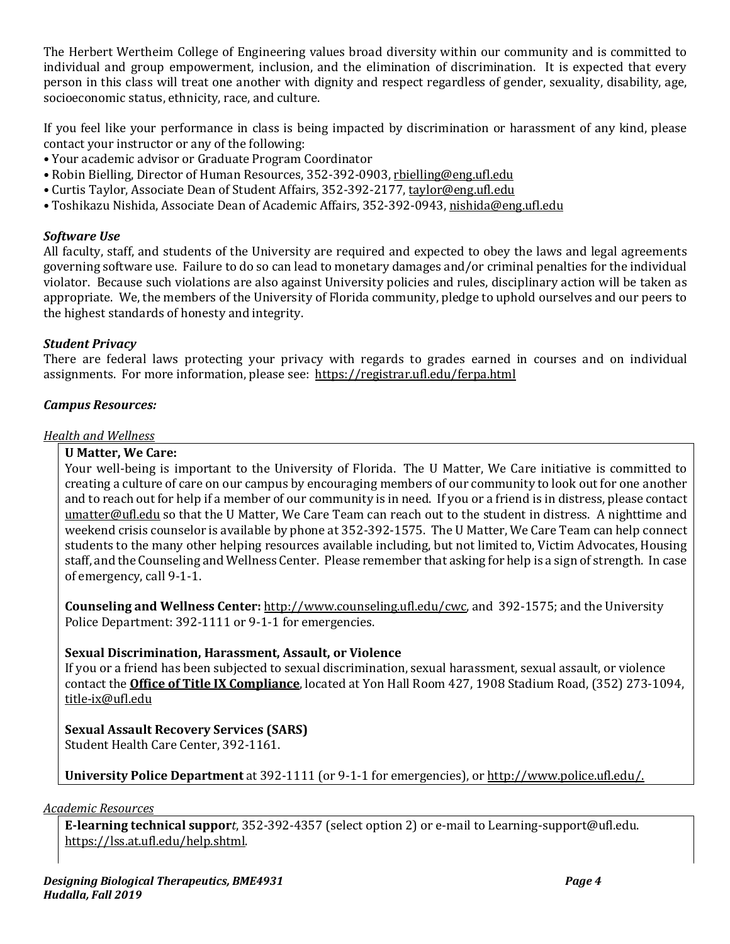The Herbert Wertheim College of Engineering values broad diversity within our community and is committed to individual and group empowerment, inclusion, and the elimination of discrimination. It is expected that every person in this class will treat one another with dignity and respect regardless of gender, sexuality, disability, age, socioeconomic status, ethnicity, race, and culture.

If you feel like your performance in class is being impacted by discrimination or harassment of any kind, please contact your instructor or any of the following:

- Your academic advisor or Graduate Program Coordinator
- Robin Bielling, Director of Human Resources, 352-392-0903, rbielling@eng.ufl.edu
- Curtis Taylor, Associate Dean of Student Affairs, 352-392-2177, taylor@eng.ufl.edu
- Toshikazu Nishida, Associate Dean of Academic Affairs, 352-392-0943, nishida@eng.ufl.edu

### *Software Use*

All faculty, staff, and students of the University are required and expected to obey the laws and legal agreements governing software use. Failure to do so can lead to monetary damages and/or criminal penalties for the individual violator. Because such violations are also against University policies and rules, disciplinary action will be taken as appropriate. We, the members of the University of Florida community, pledge to uphold ourselves and our peers to the highest standards of honesty and integrity.

# *Student Privacy*

There are federal laws protecting your privacy with regards to grades earned in courses and on individual assignments. For more information, please see: https://registrar.ufl.edu/ferpa.html

#### *Campus Resources:*

#### **Health** and Wellness

# **U Matter, We Care:**

Your well-being is important to the University of Florida. The U Matter, We Care initiative is committed to creating a culture of care on our campus by encouraging members of our community to look out for one another and to reach out for help if a member of our community is in need. If you or a friend is in distress, please contact umatter@ufl.edu so that the U Matter, We Care Team can reach out to the student in distress. A nighttime and weekend crisis counselor is available by phone at 352-392-1575. The U Matter, We Care Team can help connect students to the many other helping resources available including, but not limited to, Victim Advocates, Housing staff, and the Counseling and Wellness Center. Please remember that asking for help is a sign of strength. In case of emergency, call 9-1-1.

**Counseling and Wellness Center:** http://www.counseling.ufl.edu/cwc, and 392-1575; and the University Police Department: 392-1111 or 9-1-1 for emergencies.

#### **Sexual Discrimination, Harassment, Assault, or Violence**

If you or a friend has been subjected to sexual discrimination, sexual harassment, sexual assault, or violence contact the **Office of Title IX Compliance**, located at Yon Hall Room 427, 1908 Stadium Road, (352) 273-1094, title-ix@ufl.edu

# **Sexual Assault Recovery Services (SARS)**

Student Health Care Center, 392-1161.

**University Police Department** at 392-1111 (or 9-1-1 for emergencies), or http://www.police.ufl.edu/.

*Academic Resources*

**E-learning technical suppor***t*, 352-392-4357 (select option 2) or e-mail to Learning-support@ufl.edu. https://lss.at.ufl.edu/help.shtml.